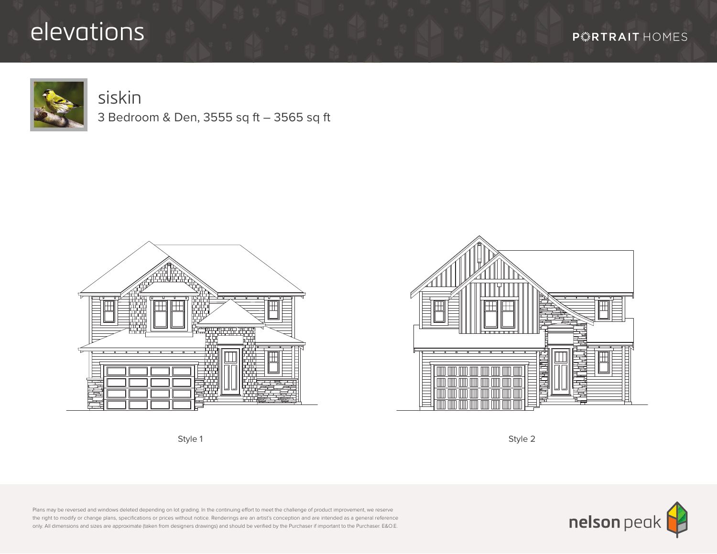## elevations



## siskin

3 Bedroom & Den, 3555 sq ft – 3565 sq ft







Style 1 Style 2

Plans may be reversed and windows deleted depending on lot grading. In the continuing effort to meet the challenge of product improvement, we reserve the right to modify or change plans, specifications or prices without notice. Renderings are an artist's conception and are intended as a general reference only. All dimensions and sizes are approximate (taken from designers drawings) and should be verified by the Purchaser if important to the Purchaser. E&O.E.